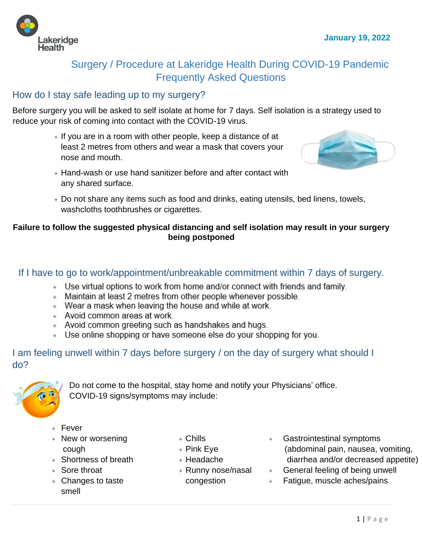

# Surgery / Procedure at Lakeridge Health During COVID-19 Pandemic Frequently Asked Questions

### How do I stay safe leading up to my surgery?

Before surgery you will be asked to self isolate at home for 7 days. Self isolation is a strategy used to reduce your risk of coming into contact with the COVID-19 virus.

> ✦ If you are in a room with other people, keep a distance of at least 2 metres from others and wear a mask that covers your nose and mouth.



- ✦ Hand-wash or use hand sanitizer before and after contact with any shared surface.
- ✦ Do not share any items such as food and drinks, eating utensils, bed linens, towels, washcloths toothbrushes or cigarettes.

#### **Failure to follow the suggested physical distancing and self isolation may result in your surgery being postponed**

### If I have to go to work/appointment/unbreakable commitment within 7 days of surgery.

- + Use virtual options to work from home and/or connect with friends and family.
- + Maintain at least 2 metres from other people whenever possible.
- + Wear a mask when leaving the house and while at work.
- + Avoid common areas at work.
- + Avoid common greeting such as handshakes and hugs.
- + Use online shopping or have someone else do your shopping for you.

I am feeling unwell within 7 days before surgery / on the day of surgery what should I do?



Do not come to the hospital, stay home and notify your Physicians' office. COVID-19 signs/symptoms may include:

- ✦ Fever
- ✦ New or worsening cough

← Shortness of breath

- $+$  Chills
- ✦ Pink Eye
- ✦ Headache
- ✦ Sore throat
- ✦ Changes to taste smell
- ✦ Runny nose/nasal congestion
- Gastrointestinal symptoms (abdominal pain, nausea, vomiting, diarrhea and/or decreased appetite)
- $\leftarrow$  General feeling of being unwell
- Fatigue, muscle aches/pains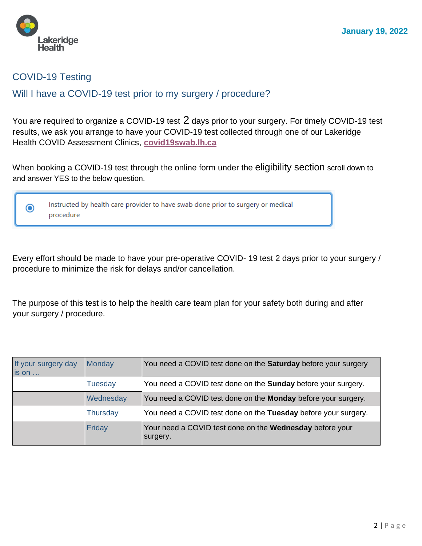

# COVID-19 Testing

# Will I have a COVID-19 test prior to my surgery / procedure?

You are required to organize a COVID-19 test 2 days prior to your surgery. For timely COVID-19 test results, we ask you arrange to have your COVID-19 test collected through one of our Lakeridge Health COVID Assessment Clinics, **[covid19swab.lh.ca](http://covid19swab.lh.ca/)**

When booking a COVID-19 test through the online form under the eligibility section scroll down to and answer YES to the below question.



Every effort should be made to have your pre-operative COVID- 19 test 2 days prior to your surgery / procedure to minimize the risk for delays and/or cancellation.

The purpose of this test is to help the health care team plan for your safety both during and after your surgery / procedure.

| If your surgery day<br>is on | Monday          | You need a COVID test done on the <b>Saturday</b> before your surgery |
|------------------------------|-----------------|-----------------------------------------------------------------------|
|                              | <b>Tuesday</b>  | You need a COVID test done on the <b>Sunday</b> before your surgery.  |
|                              | Wednesday       | You need a COVID test done on the <b>Monday</b> before your surgery.  |
|                              | <b>Thursday</b> | You need a COVID test done on the Tuesday before your surgery.        |
|                              | Friday          | Your need a COVID test done on the Wednesday before your<br>surgery.  |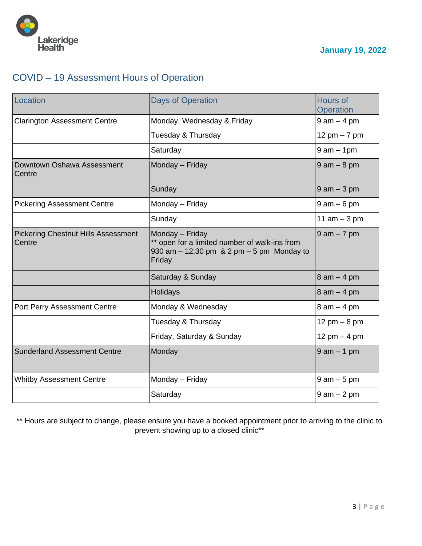

# COVID – 19 Assessment Hours of Operation

| Location                                             | <b>Days of Operation</b>                                                                                                        | <b>Hours of</b><br>Operation |
|------------------------------------------------------|---------------------------------------------------------------------------------------------------------------------------------|------------------------------|
| <b>Clarington Assessment Centre</b>                  | Monday, Wednesday & Friday                                                                                                      | $9$ am $-$ 4 pm              |
|                                                      | Tuesday & Thursday                                                                                                              | 12 pm $-7$ pm                |
|                                                      | Saturday                                                                                                                        | $9$ am $-$ 1pm               |
| Downtown Oshawa Assessment<br>Centre                 | Monday - Friday                                                                                                                 | $9$ am $-$ 8 pm              |
|                                                      | Sunday                                                                                                                          | $9$ am $-3$ pm               |
| <b>Pickering Assessment Centre</b>                   | Monday - Friday                                                                                                                 | $9$ am $-6$ pm               |
|                                                      | Sunday                                                                                                                          | 11 $am - 3 pm$               |
| <b>Pickering Chestnut Hills Assessment</b><br>Centre | Monday - Friday<br>** open for a limited number of walk-ins from<br>930 am $-$ 12:30 pm $-$ 8.2 pm $-$ 5 pm Monday to<br>Friday | $9$ am $-7$ pm               |
|                                                      | Saturday & Sunday                                                                                                               | $8$ am $-$ 4 pm              |
|                                                      | Holidays                                                                                                                        | $8$ am $-$ 4 pm              |
| Port Perry Assessment Centre                         | Monday & Wednesday                                                                                                              | $8$ am $-$ 4 pm              |
|                                                      | Tuesday & Thursday                                                                                                              | 12 pm $-8$ pm                |
|                                                      | Friday, Saturday & Sunday                                                                                                       | 12 pm $-$ 4 pm               |
| <b>Sunderland Assessment Centre</b>                  | Monday                                                                                                                          | $9$ am $-$ 1 pm              |
| <b>Whitby Assessment Centre</b>                      | Monday - Friday                                                                                                                 | $9$ am $-5$ pm               |
|                                                      | Saturday                                                                                                                        | $9$ am $-2$ pm               |

\*\* Hours are subject to change, please ensure you have a booked appointment prior to arriving to the clinic to prevent showing up to a closed clinic\*\*